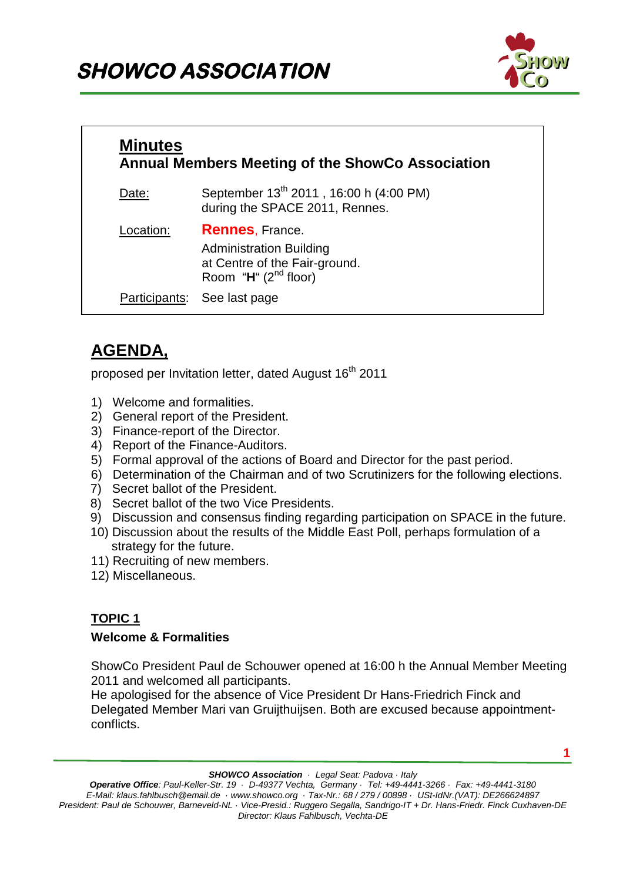

**1**

| <b>Minutes</b><br><b>Annual Members Meeting of the ShowCo Association</b> |                                                                                                                                                |  |  |
|---------------------------------------------------------------------------|------------------------------------------------------------------------------------------------------------------------------------------------|--|--|
| Date:                                                                     | September 13 <sup>th</sup> 2011, 16:00 h (4:00 PM)<br>during the SPACE 2011, Rennes.                                                           |  |  |
| Location:                                                                 | <b>Rennes, France.</b><br><b>Administration Building</b><br>at Centre of the Fair-ground.<br>Room " $H^{\prime\prime}$ (2 <sup>nd</sup> floor) |  |  |
|                                                                           | Participants: See last page                                                                                                                    |  |  |

# **AGENDA,**

proposed per Invitation letter, dated August 16<sup>th</sup> 2011

- 1) Welcome and formalities.
- 2) General report of the President.
- 3) Finance-report of the Director.
- 4) Report of the Finance-Auditors.
- 5) Formal approval of the actions of Board and Director for the past period.
- 6) Determination of the Chairman and of two Scrutinizers for the following elections.
- 7) Secret ballot of the President.
- 8) Secret ballot of the two Vice Presidents.
- 9) Discussion and consensus finding regarding participation on SPACE in the future.
- 10) Discussion about the results of the Middle East Poll, perhaps formulation of a strategy for the future.
- 11) Recruiting of new members.
- 12) Miscellaneous.

# **TOPIC 1**

#### **Welcome & Formalities**

ShowCo President Paul de Schouwer opened at 16:00 h the Annual Member Meeting 2011 and welcomed all participants.

He apologised for the absence of Vice President Dr Hans-Friedrich Finck and Delegated Member Mari van Gruijthuijsen. Both are excused because appointmentconflicts.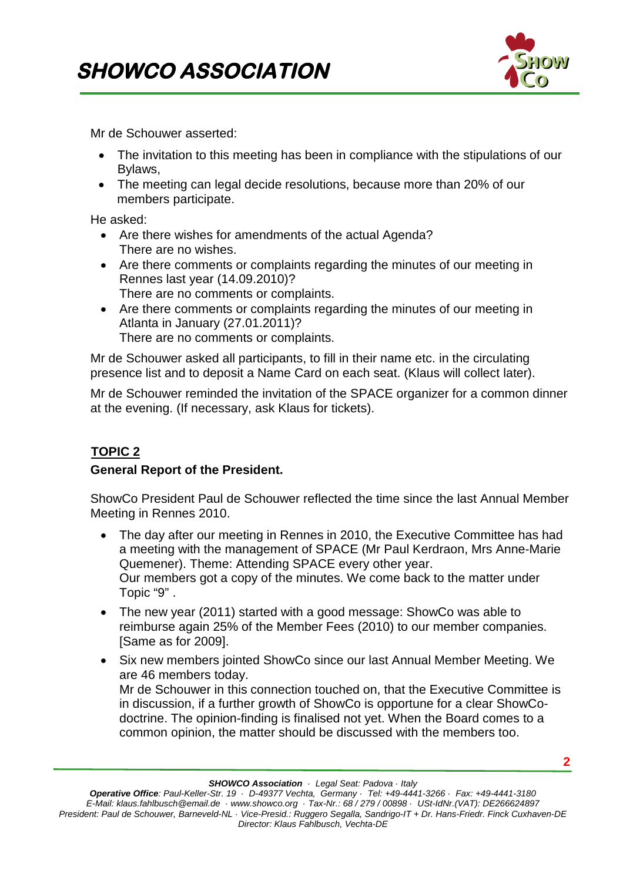

Mr de Schouwer asserted:

- The invitation to this meeting has been in compliance with the stipulations of our Bylaws,
- The meeting can legal decide resolutions, because more than 20% of our members participate.

He asked:

- Are there wishes for amendments of the actual Agenda? There are no wishes.
- Are there comments or complaints regarding the minutes of our meeting in Rennes last year (14.09.2010)? There are no comments or complaints.
- Are there comments or complaints regarding the minutes of our meeting in Atlanta in January (27.01.2011)? There are no comments or complaints.

Mr de Schouwer asked all participants, to fill in their name etc. in the circulating presence list and to deposit a Name Card on each seat. (Klaus will collect later).

Mr de Schouwer reminded the invitation of the SPACE organizer for a common dinner at the evening. (If necessary, ask Klaus for tickets).

# **TOPIC 2**

#### **General Report of the President.**

ShowCo President Paul de Schouwer reflected the time since the last Annual Member Meeting in Rennes 2010.

- The day after our meeting in Rennes in 2010, the Executive Committee has had a meeting with the management of SPACE (Mr Paul Kerdraon, Mrs Anne-Marie Quemener). Theme: Attending SPACE every other year. Our members got a copy of the minutes. We come back to the matter under Topic "9" .
- The new year (2011) started with a good message: ShowCo was able to reimburse again 25% of the Member Fees (2010) to our member companies. [Same as for 2009].
- Six new members jointed ShowCo since our last Annual Member Meeting. We are 46 members today. Mr de Schouwer in this connection touched on, that the Executive Committee is in discussion, if a further growth of ShowCo is opportune for a clear ShowCodoctrine. The opinion-finding is finalised not yet. When the Board comes to a common opinion, the matter should be discussed with the members too.

*Operative Office: Paul-Keller-Str. 19 · D-49377 Vechta, Germany · Tel: +49-4441-3266 · Fax: +49-4441-3180 E-Mail: klaus.fahlbusch@email.de · www.showco.org · Tax-Nr.: 68 / 279 / 00898 · USt-IdNr.(VAT): DE266624897 President: Paul de Schouwer, Barneveld-NL · Vice-Presid.: Ruggero Segalla, Sandrigo-IT + Dr. Hans-Friedr. Finck Cuxhaven-DE Director: Klaus Fahlbusch, Vechta-DE*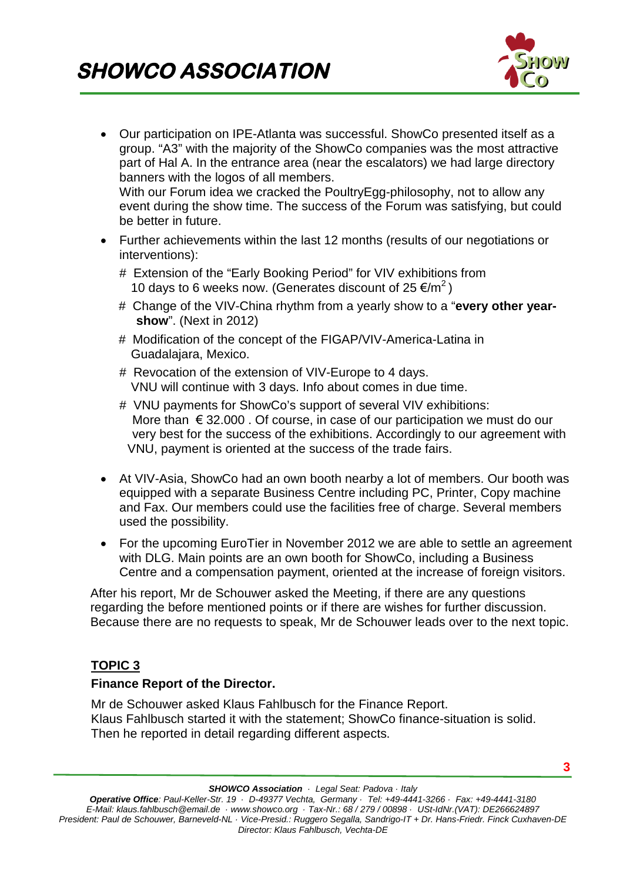# **SHOWCO ASSOCIATION**



**3**

- Our participation on IPE-Atlanta was successful. ShowCo presented itself as a group. "A3" with the majority of the ShowCo companies was the most attractive part of Hal A. In the entrance area (near the escalators) we had large directory banners with the logos of all members. With our Forum idea we cracked the PoultryEgg-philosophy, not to allow any event during the show time. The success of the Forum was satisfying, but could be better in future.
- Further achievements within the last 12 months (results of our negotiations or interventions):
	- # Extension of the "Early Booking Period" for VIV exhibitions from 10 days to 6 weeks now. (Generates discount of  $25 \text{ E/m}^2$ )
	- # Change of the VIV-China rhythm from a yearly show to a "**every other yearshow**". (Next in 2012)
	- # Modification of the concept of the FIGAP/VIV-America-Latina in Guadalajara, Mexico.
	- # Revocation of the extension of VIV-Europe to 4 days. VNU will continue with 3 days. Info about comes in due time.
	- # VNU payments for ShowCo's support of several VIV exhibitions: More than € 32.000 . Of course, in case of our participation we must do our very best for the success of the exhibitions. Accordingly to our agreement with VNU, payment is oriented at the success of the trade fairs.
- At VIV-Asia, ShowCo had an own booth nearby a lot of members. Our booth was equipped with a separate Business Centre including PC, Printer, Copy machine and Fax. Our members could use the facilities free of charge. Several members used the possibility.
- For the upcoming EuroTier in November 2012 we are able to settle an agreement with DLG. Main points are an own booth for ShowCo, including a Business Centre and a compensation payment, oriented at the increase of foreign visitors.

After his report, Mr de Schouwer asked the Meeting, if there are any questions regarding the before mentioned points or if there are wishes for further discussion. Because there are no requests to speak, Mr de Schouwer leads over to the next topic.

#### **TOPIC 3**

#### **Finance Report of the Director.**

Mr de Schouwer asked Klaus Fahlbusch for the Finance Report. Klaus Fahlbusch started it with the statement; ShowCo finance-situation is solid. Then he reported in detail regarding different aspects.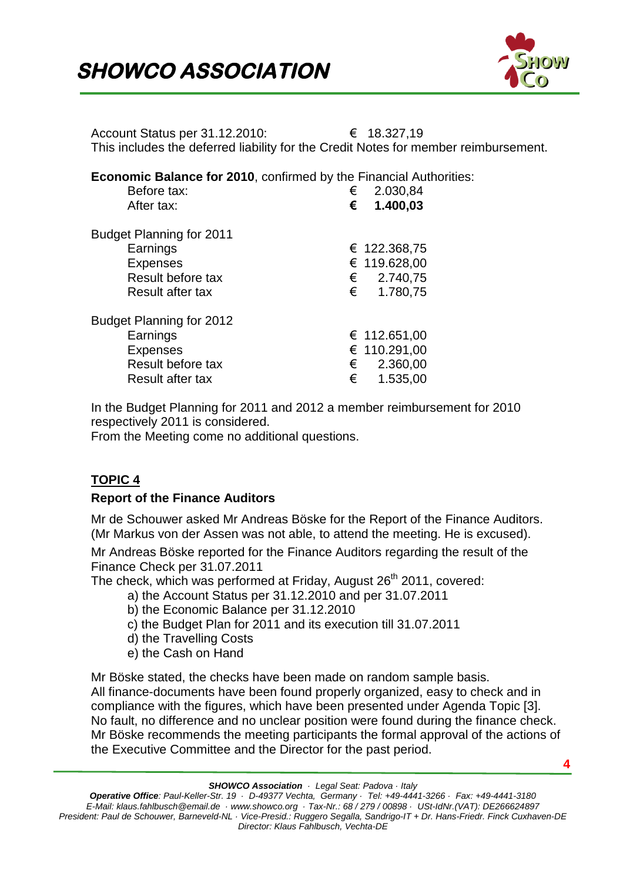

**4**

Account Status per 31.12.2010: € 18.327,19 This includes the deferred liability for the Credit Notes for member reimbursement.

**Economic Balance for 2010**, confirmed by the Financial Authorities: Before tax:  $\epsilon$  2.030.84 After tax: **€ 1.400,03** Budget Planning for 2011 Earnings  $\epsilon$  122.368.75 Expenses  $\epsilon$  119.628,00 Result before tax  $\epsilon$  2.740,75 Result after tax  $\epsilon$  1.780,75 Budget Planning for 2012 Earnings  $\epsilon$  112.651,00 Expenses  $\epsilon$  110.291.00 Result before tax  $\epsilon$  2.360.00 Result after tax  $\epsilon$  1.535.00

In the Budget Planning for 2011 and 2012 a member reimbursement for 2010 respectively 2011 is considered.

From the Meeting come no additional questions.

# **TOPIC 4**

#### **Report of the Finance Auditors**

Mr de Schouwer asked Mr Andreas Böske for the Report of the Finance Auditors. (Mr Markus von der Assen was not able, to attend the meeting. He is excused).

Mr Andreas Böske reported for the Finance Auditors regarding the result of the Finance Check per 31.07.2011

The check, which was performed at Friday, August 26<sup>th</sup> 2011, covered:

- a) the Account Status per 31.12.2010 and per 31.07.2011
- b) the Economic Balance per 31.12.2010
- c) the Budget Plan for 2011 and its execution till 31.07.2011
- d) the Travelling Costs
- e) the Cash on Hand

Mr Böske stated, the checks have been made on random sample basis. All finance-documents have been found properly organized, easy to check and in compliance with the figures, which have been presented under Agenda Topic [3]. No fault, no difference and no unclear position were found during the finance check. Mr Böske recommends the meeting participants the formal approval of the actions of the Executive Committee and the Director for the past period.

*SHOWCO Association · Legal Seat: Padova · Italy*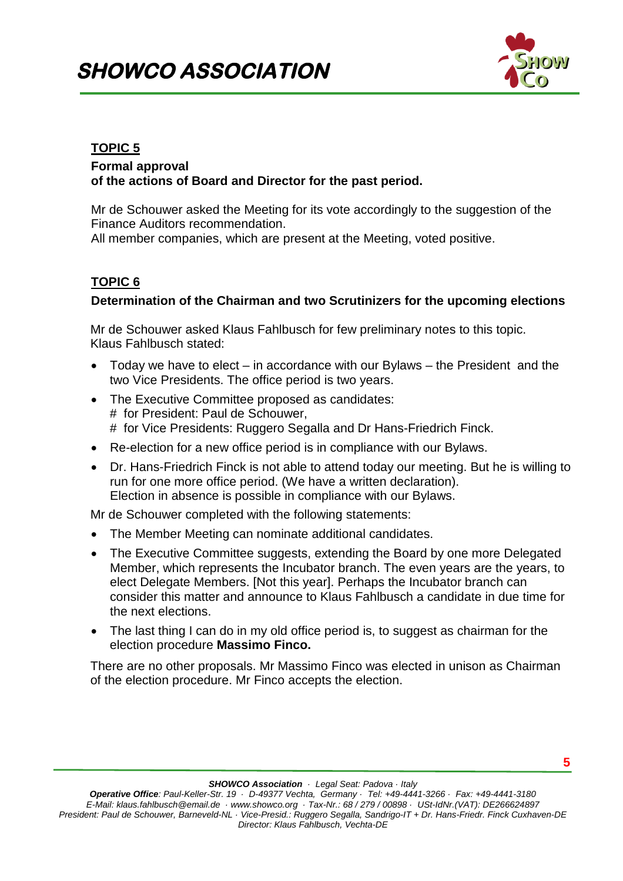

#### **TOPIC 5**

#### **Formal approval of the actions of Board and Director for the past period.**

Mr de Schouwer asked the Meeting for its vote accordingly to the suggestion of the Finance Auditors recommendation.

All member companies, which are present at the Meeting, voted positive.

#### **TOPIC 6**

#### **Determination of the Chairman and two Scrutinizers for the upcoming elections**

Mr de Schouwer asked Klaus Fahlbusch for few preliminary notes to this topic. Klaus Fahlbusch stated:

- Today we have to elect in accordance with our Bylaws the President and the two Vice Presidents. The office period is two years.
- The Executive Committee proposed as candidates: # for President: Paul de Schouwer, # for Vice Presidents: Ruggero Segalla and Dr Hans-Friedrich Finck.
- Re-election for a new office period is in compliance with our Bylaws.
- Dr. Hans-Friedrich Finck is not able to attend today our meeting. But he is willing to run for one more office period. (We have a written declaration). Election in absence is possible in compliance with our Bylaws.

Mr de Schouwer completed with the following statements:

- The Member Meeting can nominate additional candidates.
- The Executive Committee suggests, extending the Board by one more Delegated Member, which represents the Incubator branch. The even years are the years, to elect Delegate Members. [Not this year]. Perhaps the Incubator branch can consider this matter and announce to Klaus Fahlbusch a candidate in due time for the next elections.
- The last thing I can do in my old office period is, to suggest as chairman for the election procedure **Massimo Finco.**

There are no other proposals. Mr Massimo Finco was elected in unison as Chairman of the election procedure. Mr Finco accepts the election.

*SHOWCO Association · Legal Seat: Padova · Italy*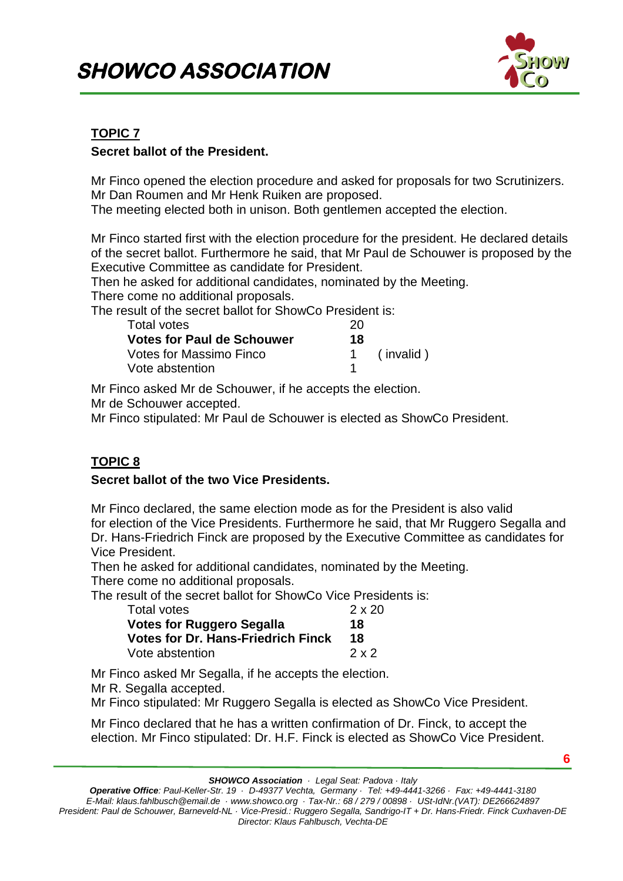

#### **TOPIC 7**

#### **Secret ballot of the President.**

Mr Finco opened the election procedure and asked for proposals for two Scrutinizers. Mr Dan Roumen and Mr Henk Ruiken are proposed.

The meeting elected both in unison. Both gentlemen accepted the election.

Mr Finco started first with the election procedure for the president. He declared details of the secret ballot. Furthermore he said, that Mr Paul de Schouwer is proposed by the Executive Committee as candidate for President.

Then he asked for additional candidates, nominated by the Meeting. There come no additional proposals.

The result of the secret ballot for ShowCo President is:

| <b>Total votes</b>                | 20 |             |
|-----------------------------------|----|-------------|
| <b>Votes for Paul de Schouwer</b> | 18 |             |
| Votes for Massimo Finco           |    | 1 (invalid) |
| Vote abstention                   |    |             |

Mr Finco asked Mr de Schouwer, if he accepts the election.

Mr de Schouwer accepted.

Mr Finco stipulated: Mr Paul de Schouwer is elected as ShowCo President.

#### **TOPIC 8**

#### **Secret ballot of the two Vice Presidents.**

Mr Finco declared, the same election mode as for the President is also valid for election of the Vice Presidents. Furthermore he said, that Mr Ruggero Segalla and Dr. Hans-Friedrich Finck are proposed by the Executive Committee as candidates for Vice President.

Then he asked for additional candidates, nominated by the Meeting. There come no additional proposals.

The result of the secret ballot for ShowCo Vice Presidents is:

| <b>Total votes</b>                        | $2 \times 20$ |
|-------------------------------------------|---------------|
| <b>Votes for Ruggero Segalla</b>          | 18            |
| <b>Votes for Dr. Hans-Friedrich Finck</b> | 18.           |
| Vote abstention                           | 2 x 2         |

Mr Finco asked Mr Segalla, if he accepts the election.

Mr R. Segalla accepted.

Mr Finco stipulated: Mr Ruggero Segalla is elected as ShowCo Vice President.

Mr Finco declared that he has a written confirmation of Dr. Finck, to accept the election. Mr Finco stipulated: Dr. H.F. Finck is elected as ShowCo Vice President.

*SHOWCO Association · Legal Seat: Padova · Italy*

*Operative Office: Paul-Keller-Str. 19 · D-49377 Vechta, Germany · Tel: +49-4441-3266 · Fax: +49-4441-3180 E-Mail: klaus.fahlbusch@email.de · www.showco.org · Tax-Nr.: 68 / 279 / 00898 · USt-IdNr.(VAT): DE266624897 President: Paul de Schouwer, Barneveld-NL · Vice-Presid.: Ruggero Segalla, Sandrigo-IT + Dr. Hans-Friedr. Finck Cuxhaven-DE Director: Klaus Fahlbusch, Vechta-DE*

**6**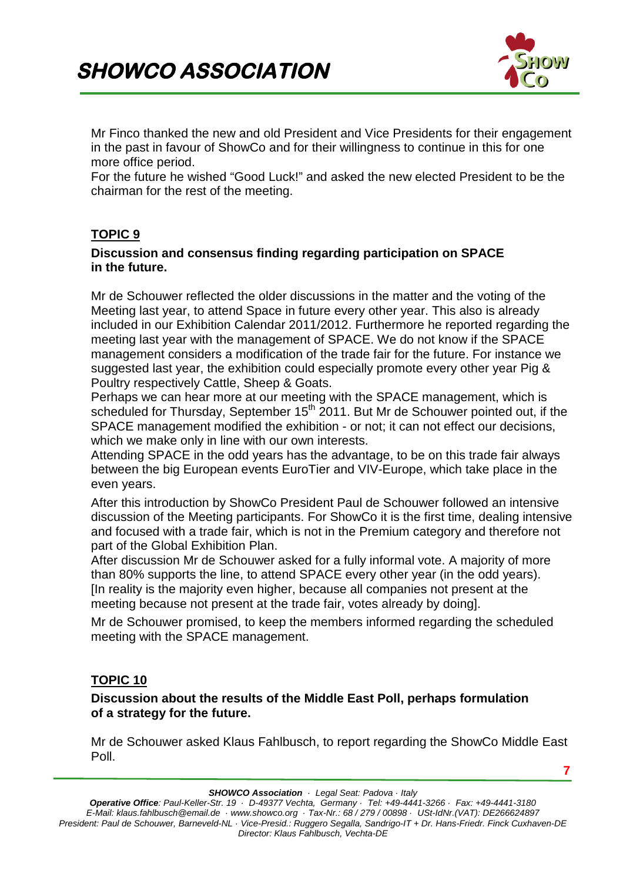

Mr Finco thanked the new and old President and Vice Presidents for their engagement in the past in favour of ShowCo and for their willingness to continue in this for one more office period.

For the future he wished "Good Luck!" and asked the new elected President to be the chairman for the rest of the meeting.

# **TOPIC 9**

#### **Discussion and consensus finding regarding participation on SPACE in the future.**

Mr de Schouwer reflected the older discussions in the matter and the voting of the Meeting last year, to attend Space in future every other year. This also is already included in our Exhibition Calendar 2011/2012. Furthermore he reported regarding the meeting last year with the management of SPACE. We do not know if the SPACE management considers a modification of the trade fair for the future. For instance we suggested last year, the exhibition could especially promote every other year Pig & Poultry respectively Cattle, Sheep & Goats.

Perhaps we can hear more at our meeting with the SPACE management, which is scheduled for Thursday, September 15<sup>th</sup> 2011. But Mr de Schouwer pointed out, if the SPACE management modified the exhibition - or not; it can not effect our decisions, which we make only in line with our own interests.

Attending SPACE in the odd years has the advantage, to be on this trade fair always between the big European events EuroTier and VIV-Europe, which take place in the even years.

After this introduction by ShowCo President Paul de Schouwer followed an intensive discussion of the Meeting participants. For ShowCo it is the first time, dealing intensive and focused with a trade fair, which is not in the Premium category and therefore not part of the Global Exhibition Plan.

After discussion Mr de Schouwer asked for a fully informal vote. A majority of more than 80% supports the line, to attend SPACE every other year (in the odd years). [In reality is the majority even higher, because all companies not present at the meeting because not present at the trade fair, votes already by doing].

Mr de Schouwer promised, to keep the members informed regarding the scheduled meeting with the SPACE management.

#### **TOPIC 10**

#### **Discussion about the results of the Middle East Poll, perhaps formulation of a strategy for the future.**

Mr de Schouwer asked Klaus Fahlbusch, to report regarding the ShowCo Middle East Poll.

*SHOWCO Association · Legal Seat: Padova · Italy*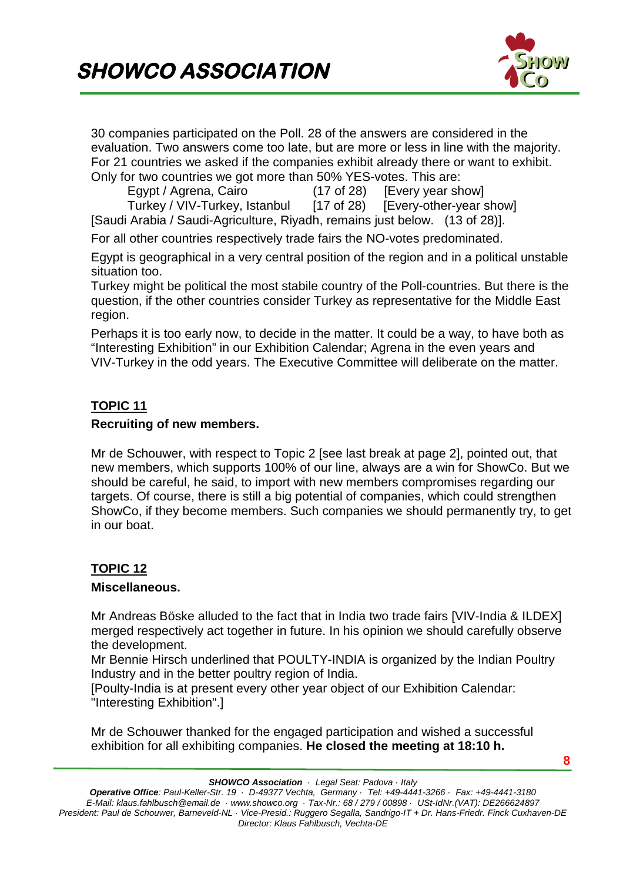

30 companies participated on the Poll. 28 of the answers are considered in the evaluation. Two answers come too late, but are more or less in line with the majority. For 21 countries we asked if the companies exhibit already there or want to exhibit. Only for two countries we got more than 50% YES-votes. This are:

Egypt / Agrena, Cairo (17 of 28) [Every year show] Turkey / VIV-Turkey, Istanbul [17 of 28) [Every-other-year show] [Saudi Arabia / Saudi-Agriculture, Riyadh, remains just below. (13 of 28)].

For all other countries respectively trade fairs the NO-votes predominated.

Egypt is geographical in a very central position of the region and in a political unstable situation too.

Turkey might be political the most stabile country of the Poll-countries. But there is the question, if the other countries consider Turkey as representative for the Middle East region.

Perhaps it is too early now, to decide in the matter. It could be a way, to have both as "Interesting Exhibition" in our Exhibition Calendar; Agrena in the even years and VIV-Turkey in the odd years. The Executive Committee will deliberate on the matter.

# **TOPIC 11**

#### **Recruiting of new members.**

Mr de Schouwer, with respect to Topic 2 [see last break at page 2], pointed out, that new members, which supports 100% of our line, always are a win for ShowCo. But we should be careful, he said, to import with new members compromises regarding our targets. Of course, there is still a big potential of companies, which could strengthen ShowCo, if they become members. Such companies we should permanently try, to get in our boat.

# **TOPIC 12**

#### **Miscellaneous.**

Mr Andreas Böske alluded to the fact that in India two trade fairs [VIV-India & ILDEX] merged respectively act together in future. In his opinion we should carefully observe the development.

Mr Bennie Hirsch underlined that POULTY-INDIA is organized by the Indian Poultry Industry and in the better poultry region of India.

[Poulty-India is at present every other year object of our Exhibition Calendar: "Interesting Exhibition".]

Mr de Schouwer thanked for the engaged participation and wished a successful exhibition for all exhibiting companies. **He closed the meeting at 18:10 h.**

*SHOWCO Association · Legal Seat: Padova · Italy*